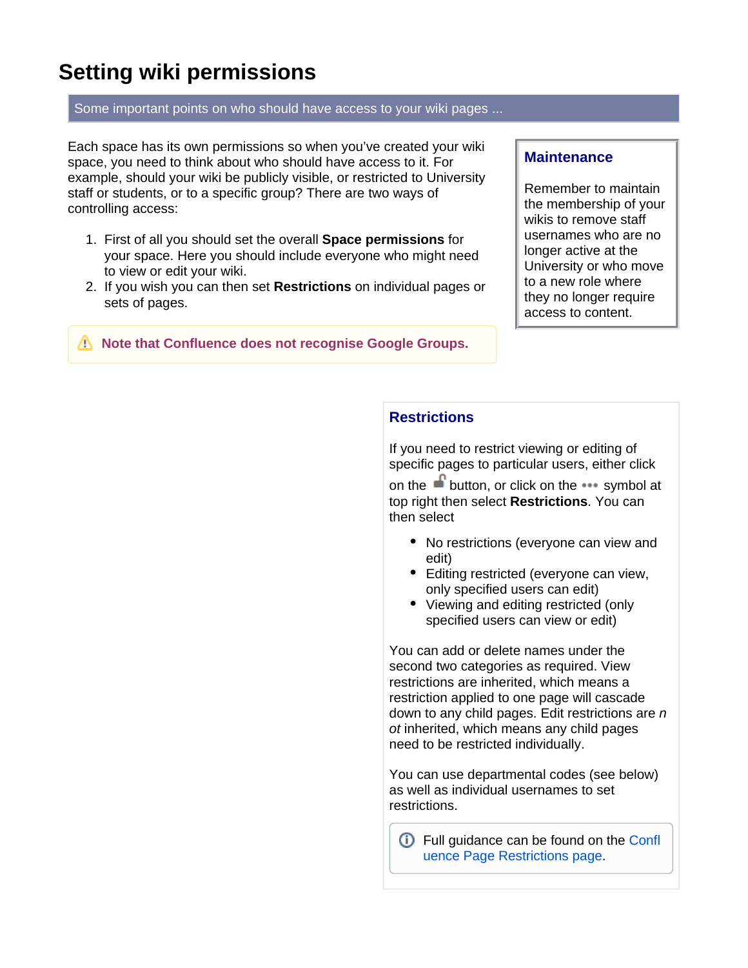# **Setting wiki permissions**

#### Some important points on who should have access to your wiki pages ...

Each space has its own permissions so when you've created your wiki space, you need to think about who should have access to it. For example, should your wiki be publicly visible, or restricted to University staff or students, or to a specific group? There are two ways of controlling access:

- 1. First of all you should set the overall **Space permissions** for your space. Here you should include everyone who might need to view or edit your wiki.
- 2. If you wish you can then set **Restrictions** on individual pages or sets of pages.

*N* Note that Confluence does not recognise Google Groups.

#### **Maintenance**

Remember to maintain the membership of your wikis to remove staff usernames who are no longer active at the University or who move to a new role where they no longer require access to content.

## **Restrictions**

If you need to restrict viewing or editing of specific pages to particular users, either click

on the **button**, or click on the  $\cdots$  symbol at top right then select **Restrictions**. You can then select

- No restrictions (everyone can view and edit)
- Editing restricted (everyone can view, only specified users can edit)
- Viewing and editing restricted (only specified users can view or edit)

You can add or delete names under the second two categories as required. View restrictions are inherited, which means a restriction applied to one page will cascade down to any child pages. Edit restrictions are  $n$ ot inherited, which means any child pages need to be restricted individually.

You can use departmental codes (see below) as well as individual usernames to set restrictions.

Full guidance can be found on the [Confl](https://confluence.atlassian.com/conf74/page-restrictions-1003128435.html) [uence Page Restrictions page](https://confluence.atlassian.com/conf74/page-restrictions-1003128435.html).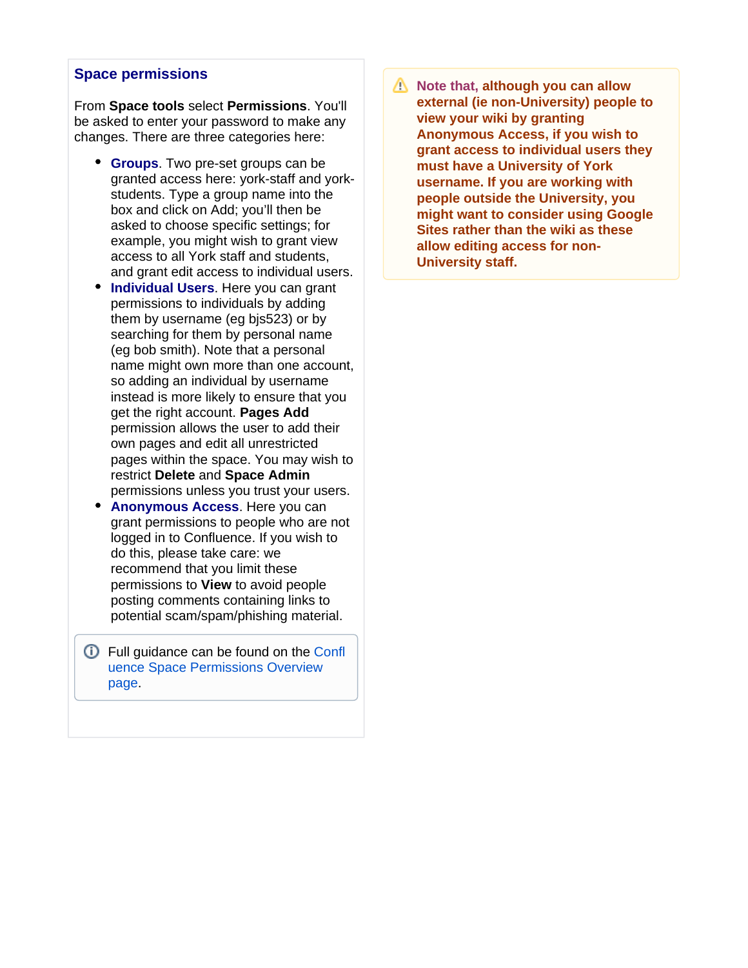### **Space permissions**

From **Space tools** select **Permissions**. You'll be asked to enter your password to make any changes. There are three categories here:

- **Groups**. Two pre-set groups can be granted access here: york-staff and yorkstudents. Type a group name into the box and click on Add; you'll then be asked to choose specific settings; for example, you might wish to grant view access to all York staff and students, and grant edit access to individual users.
- **Individual Users**. Here you can grant permissions to individuals by adding them by username (eg bjs523) or by searching for them by personal name (eg bob smith). Note that a personal name might own more than one account, so adding an individual by username instead is more likely to ensure that you get the right account. **Pages Add** permission allows the user to add their own pages and edit all unrestricted pages within the space. You may wish to restrict **Delete** and **Space Admin** permissions unless you trust your users.
- **Anonymous Access.** Here you can grant permissions to people who are not logged in to Confluence. If you wish to do this, please take care: we recommend that you limit these permissions to **View** to avoid people posting comments containing links to potential scam/spam/phishing material.
- **C** Full guidance can be found on the [Confl](https://confluence.atlassian.com/conf74/space-permissions-overview-1003128256.html) [uence Space Permissions Overview](https://confluence.atlassian.com/conf74/space-permissions-overview-1003128256.html)  [page.](https://confluence.atlassian.com/conf74/space-permissions-overview-1003128256.html)

**Note that, although you can allow external (ie non-University) people to view your wiki by granting Anonymous Access, if you wish to grant access to individual users they must have a University of York username. If you are working with people outside the University, you might want to consider using Google Sites rather than the wiki as these allow editing access for non-University staff.**